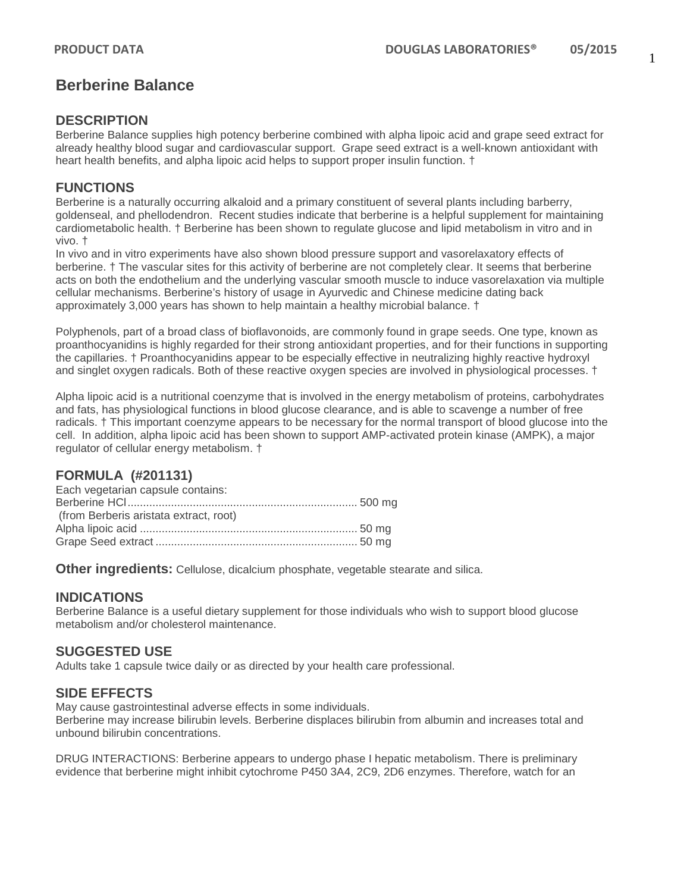# **Berberine Balance**

#### **DESCRIPTION**

Berberine Balance supplies high potency berberine combined with alpha lipoic acid and grape seed extract for already healthy blood sugar and cardiovascular support. Grape seed extract is a well-known antioxidant with heart health benefits, and alpha lipoic acid helps to support proper insulin function. †

### **FUNCTIONS**

Berberine is a naturally occurring alkaloid and a primary constituent of several plants including barberry, goldenseal, and phellodendron. Recent studies indicate that berberine is a helpful supplement for maintaining cardiometabolic health. † Berberine has been shown to regulate glucose and lipid metabolism in vitro and in vivo. †

In vivo and in vitro experiments have also shown blood pressure support and vasorelaxatory effects of berberine. † The vascular sites for this activity of berberine are not completely clear. It seems that berberine acts on both the endothelium and the underlying vascular smooth muscle to induce vasorelaxation via multiple cellular mechanisms. Berberine's history of usage in Ayurvedic and Chinese medicine dating back approximately 3,000 years has shown to help maintain a healthy microbial balance. †

Polyphenols, part of a broad class of bioflavonoids, are commonly found in grape seeds. One type, known as proanthocyanidins is highly regarded for their strong antioxidant properties, and for their functions in supporting the capillaries. † Proanthocyanidins appear to be especially effective in neutralizing highly reactive hydroxyl and singlet oxygen radicals. Both of these reactive oxygen species are involved in physiological processes. †

Alpha lipoic acid is a nutritional coenzyme that is involved in the energy metabolism of proteins, carbohydrates and fats, has physiological functions in blood glucose clearance, and is able to scavenge a number of free radicals. † This important coenzyme appears to be necessary for the normal transport of blood glucose into the cell. In addition, alpha lipoic acid has been shown to support AMP-activated protein kinase (AMPK), a major regulator of cellular energy metabolism. †

## **FORMULA (#201131)**

| Each vegetarian capsule contains:      |  |
|----------------------------------------|--|
|                                        |  |
| (from Berberis aristata extract, root) |  |
|                                        |  |
|                                        |  |
|                                        |  |

**Other ingredients:** Cellulose, dicalcium phosphate, vegetable stearate and silica.

#### **INDICATIONS**

Berberine Balance is a useful dietary supplement for those individuals who wish to support blood glucose metabolism and/or cholesterol maintenance.

#### **SUGGESTED USE**

Adults take 1 capsule twice daily or as directed by your health care professional.

#### **SIDE EFFECTS**

May cause gastrointestinal adverse effects in some individuals.

Berberine may increase bilirubin levels. Berberine displaces bilirubin from albumin and increases total and unbound bilirubin concentrations.

DRUG INTERACTIONS: Berberine appears to undergo phase I hepatic metabolism. There is preliminary evidence that berberine might inhibit cytochrome P450 3A4, 2C9, 2D6 enzymes. Therefore, watch for an